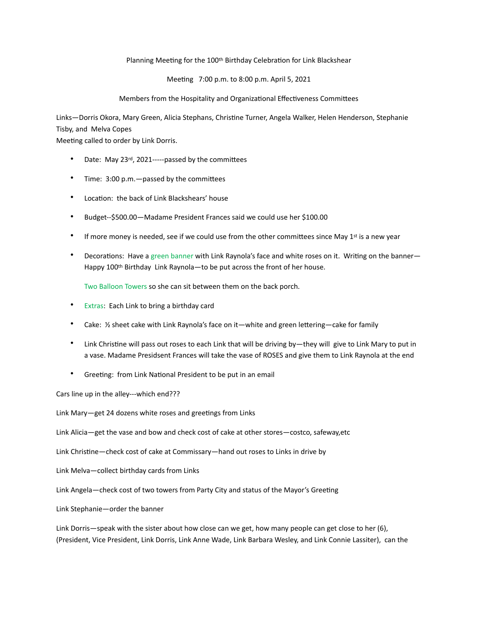## Planning Meeting for the 100<sup>th</sup> Birthday Celebration for Link Blackshear

Meeting 7:00 p.m. to 8:00 p.m. April 5, 2021

## Members from the Hospitality and Organizational Effectiveness Committees

Links-Dorris Okora, Mary Green, Alicia Stephans, Christine Turner, Angela Walker, Helen Henderson, Stephanie Tisby, and Melva Copes

Meeting called to order by Link Dorris.

- Date: May 23rd, 2021-----passed by the committees
- Time:  $3:00$  p.m.  $-p$  assed by the committees
- Location: the back of Link Blackshears' house
- Budget--\$500.00—Madame President Frances said we could use her \$100.00
- If more money is needed, see if we could use from the other committees since May 1st is a new year
- Decorations: Have a green banner with Link Raynola's face and white roses on it. Writing on the banner— Happy 100<sup>th</sup> Birthday Link Raynola—to be put across the front of her house.

Two Balloon Towers so she can sit between them on the back porch.

- Extras: Each Link to bring a birthday card
- Cake:  $\frac{1}{2}$  sheet cake with Link Raynola's face on it—white and green lettering—cake for family
- Link Christine will pass out roses to each Link that will be driving by—they will give to Link Mary to put in a vase. Madame Presidsent Frances will take the vase of ROSES and give them to Link Raynola at the end
- Greeting: from Link National President to be put in an email

Cars line up in the alley---which end???

Link Mary-get 24 dozens white roses and greetings from Links

Link Alicia—get the vase and bow and check cost of cake at other stores—costco, safeway,etc

Link Christine—check cost of cake at Commissary—hand out roses to Links in drive by

Link Melva—collect birthday cards from Links

Link Angela—check cost of two towers from Party City and status of the Mayor's Greeting

Link Stephanie—order the banner

Link Dorris—speak with the sister about how close can we get, how many people can get close to her (6), (President, Vice President, Link Dorris, Link Anne Wade, Link Barbara Wesley, and Link Connie Lassiter), can the